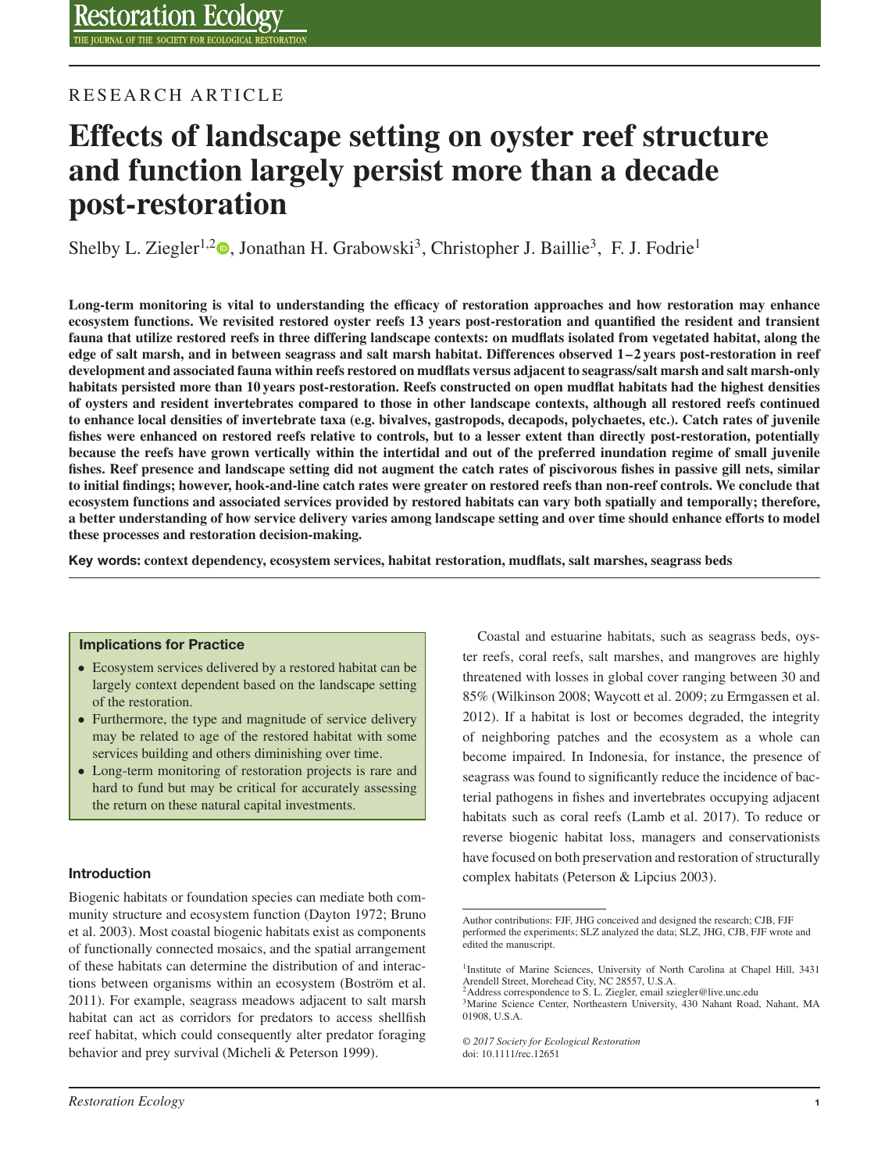# RESEARCH ARTICLE

# **Effects of landscape setting on oyster reef structure and function largely persist more than a decade post-restoration**

Shelby L. Ziegler<sup>1[,](http://orcid.org/0000-0001-7218-0811)2</sup> $\bullet$ , Jonathan H. Grabowski<sup>3</sup>, Christopher J. Baillie<sup>3</sup>, F. J. Fodrie<sup>1</sup>

**Long-term monitoring is vital to understanding the efficacy of restoration approaches and how restoration may enhance ecosystem functions. We revisited restored oyster reefs 13 years post-restoration and quantified the resident and transient fauna that utilize restored reefs in three differing landscape contexts: on mudflats isolated from vegetated habitat, along the edge of salt marsh, and in between seagrass and salt marsh habitat. Differences observed 1–2 years post-restoration in reef development and associated fauna within reefs restored on mudflats versus adjacent to seagrass/salt marsh and salt marsh-only habitats persisted more than 10 years post-restoration. Reefs constructed on open mudflat habitats had the highest densities of oysters and resident invertebrates compared to those in other landscape contexts, although all restored reefs continued to enhance local densities of invertebrate taxa (e.g. bivalves, gastropods, decapods, polychaetes, etc.). Catch rates of juvenile fishes were enhanced on restored reefs relative to controls, but to a lesser extent than directly post-restoration, potentially because the reefs have grown vertically within the intertidal and out of the preferred inundation regime of small juvenile fishes. Reef presence and landscape setting did not augment the catch rates of piscivorous fishes in passive gill nets, similar to initial findings; however, hook-and-line catch rates were greater on restored reefs than non-reef controls. We conclude that ecosystem functions and associated services provided by restored habitats can vary both spatially and temporally; therefore, a better understanding of how service delivery varies among landscape setting and over time should enhance efforts to model these processes and restoration decision-making.**

**Key words: context dependency, ecosystem services, habitat restoration, mudflats, salt marshes, seagrass beds**

#### **Implications for Practice**

- Ecosystem services delivered by a restored habitat can be largely context dependent based on the landscape setting of the restoration.
- Furthermore, the type and magnitude of service delivery may be related to age of the restored habitat with some services building and others diminishing over time.
- Long-term monitoring of restoration projects is rare and hard to fund but may be critical for accurately assessing the return on these natural capital investments.

# **Introduction**

Biogenic habitats or foundation species can mediate both community structure and ecosystem function (Dayton 1972; Bruno et al. 2003). Most coastal biogenic habitats exist as components of functionally connected mosaics, and the spatial arrangement of these habitats can determine the distribution of and interactions between organisms within an ecosystem (Boström et al. 2011). For example, seagrass meadows adjacent to salt marsh habitat can act as corridors for predators to access shellfish reef habitat, which could consequently alter predator foraging behavior and prey survival (Micheli & Peterson 1999).

Coastal and estuarine habitats, such as seagrass beds, oyster reefs, coral reefs, salt marshes, and mangroves are highly threatened with losses in global cover ranging between 30 and 85% (Wilkinson 2008; Waycott et al. 2009; zu Ermgassen et al. 2012). If a habitat is lost or becomes degraded, the integrity of neighboring patches and the ecosystem as a whole can become impaired. In Indonesia, for instance, the presence of seagrass was found to significantly reduce the incidence of bacterial pathogens in fishes and invertebrates occupying adjacent habitats such as coral reefs (Lamb et al. 2017). To reduce or reverse biogenic habitat loss, managers and conservationists have focused on both preservation and restoration of structurally complex habitats (Peterson & Lipcius 2003).

*© 2017 Society for Ecological Restoration* doi: 10.1111/rec.12651

Author contributions: FJF, JHG conceived and designed the research; CJB, FJF performed the experiments; SLZ analyzed the data; SLZ, JHG, CJB, FJF wrote and edited the manuscript.

<sup>&</sup>lt;sup>1</sup>Institute of Marine Sciences, University of North Carolina at Chapel Hill, 3431 Arendell Street, Morehead City, NC 28557, U.S.A.

<sup>2</sup>Address correspondence to S. L. Ziegler, email sziegler@live.unc.edu

<sup>3</sup>Marine Science Center, Northeastern University, 430 Nahant Road, Nahant, MA 01908, U.S.A.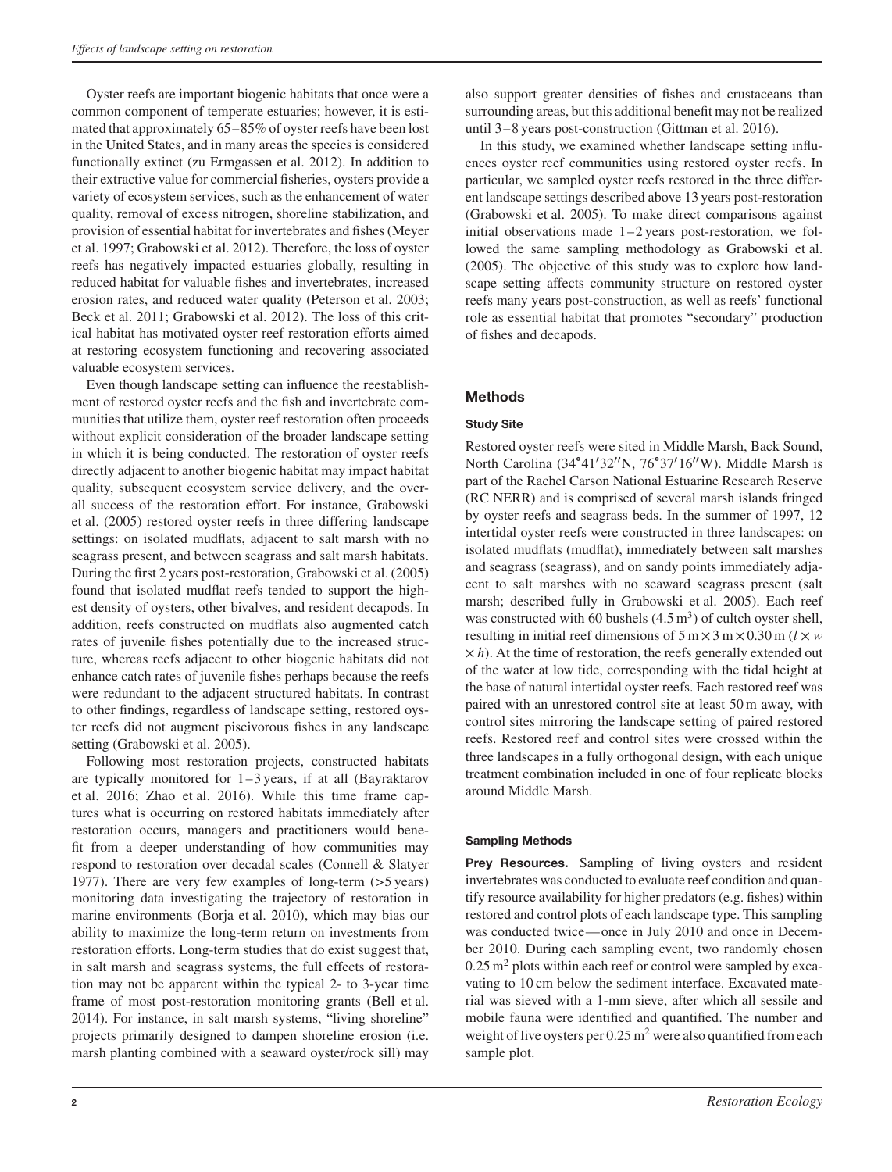Oyster reefs are important biogenic habitats that once were a common component of temperate estuaries; however, it is estimated that approximately 65–85% of oyster reefs have been lost in the United States, and in many areas the species is considered functionally extinct (zu Ermgassen et al. 2012). In addition to their extractive value for commercial fisheries, oysters provide a variety of ecosystem services, such as the enhancement of water quality, removal of excess nitrogen, shoreline stabilization, and provision of essential habitat for invertebrates and fishes (Meyer et al. 1997; Grabowski et al. 2012). Therefore, the loss of oyster reefs has negatively impacted estuaries globally, resulting in reduced habitat for valuable fishes and invertebrates, increased erosion rates, and reduced water quality (Peterson et al. 2003; Beck et al. 2011; Grabowski et al. 2012). The loss of this critical habitat has motivated oyster reef restoration efforts aimed at restoring ecosystem functioning and recovering associated valuable ecosystem services.

Even though landscape setting can influence the reestablishment of restored oyster reefs and the fish and invertebrate communities that utilize them, oyster reef restoration often proceeds without explicit consideration of the broader landscape setting in which it is being conducted. The restoration of oyster reefs directly adjacent to another biogenic habitat may impact habitat quality, subsequent ecosystem service delivery, and the overall success of the restoration effort. For instance, Grabowski et al. (2005) restored oyster reefs in three differing landscape settings: on isolated mudflats, adjacent to salt marsh with no seagrass present, and between seagrass and salt marsh habitats. During the first 2 years post-restoration, Grabowski et al. (2005) found that isolated mudflat reefs tended to support the highest density of oysters, other bivalves, and resident decapods. In addition, reefs constructed on mudflats also augmented catch rates of juvenile fishes potentially due to the increased structure, whereas reefs adjacent to other biogenic habitats did not enhance catch rates of juvenile fishes perhaps because the reefs were redundant to the adjacent structured habitats. In contrast to other findings, regardless of landscape setting, restored oyster reefs did not augment piscivorous fishes in any landscape setting (Grabowski et al. 2005).

Following most restoration projects, constructed habitats are typically monitored for 1–3 years, if at all (Bayraktarov et al. 2016; Zhao et al. 2016). While this time frame captures what is occurring on restored habitats immediately after restoration occurs, managers and practitioners would benefit from a deeper understanding of how communities may respond to restoration over decadal scales (Connell & Slatyer 1977). There are very few examples of long-term (*>*5 years) monitoring data investigating the trajectory of restoration in marine environments (Borja et al. 2010), which may bias our ability to maximize the long-term return on investments from restoration efforts. Long-term studies that do exist suggest that, in salt marsh and seagrass systems, the full effects of restoration may not be apparent within the typical 2- to 3-year time frame of most post-restoration monitoring grants (Bell et al. 2014). For instance, in salt marsh systems, "living shoreline" projects primarily designed to dampen shoreline erosion (i.e. marsh planting combined with a seaward oyster/rock sill) may

also support greater densities of fishes and crustaceans than surrounding areas, but this additional benefit may not be realized until 3–8 years post-construction (Gittman et al. 2016).

In this study, we examined whether landscape setting influences oyster reef communities using restored oyster reefs. In particular, we sampled oyster reefs restored in the three different landscape settings described above 13 years post-restoration (Grabowski et al. 2005). To make direct comparisons against initial observations made  $1-2$  years post-restoration, we followed the same sampling methodology as Grabowski et al. (2005). The objective of this study was to explore how landscape setting affects community structure on restored oyster reefs many years post-construction, as well as reefs' functional role as essential habitat that promotes "secondary" production of fishes and decapods.

# **Methods**

# **Study Site**

Restored oyster reefs were sited in Middle Marsh, Back Sound, North Carolina (34∘41′ 32′′N, 76∘37′ 16′′W). Middle Marsh is part of the Rachel Carson National Estuarine Research Reserve (RC NERR) and is comprised of several marsh islands fringed by oyster reefs and seagrass beds. In the summer of 1997, 12 intertidal oyster reefs were constructed in three landscapes: on isolated mudflats (mudflat), immediately between salt marshes and seagrass (seagrass), and on sandy points immediately adjacent to salt marshes with no seaward seagrass present (salt marsh; described fully in Grabowski et al. 2005). Each reef was constructed with 60 bushels  $(4.5 \text{ m}^3)$  of cultch oyster shell, resulting in initial reef dimensions of  $5 \text{ m} \times 3 \text{ m} \times 0.30 \text{ m}$  ( $l \times w$ )  $\times h$ ). At the time of restoration, the reefs generally extended out of the water at low tide, corresponding with the tidal height at the base of natural intertidal oyster reefs. Each restored reef was paired with an unrestored control site at least 50 m away, with control sites mirroring the landscape setting of paired restored reefs. Restored reef and control sites were crossed within the three landscapes in a fully orthogonal design, with each unique treatment combination included in one of four replicate blocks around Middle Marsh.

#### **Sampling Methods**

Prey Resources. Sampling of living oysters and resident invertebrates was conducted to evaluate reef condition and quantify resource availability for higher predators (e.g. fishes) within restored and control plots of each landscape type. This sampling was conducted twice—once in July 2010 and once in December 2010. During each sampling event, two randomly chosen  $0.25$  m<sup>2</sup> plots within each reef or control were sampled by excavating to 10 cm below the sediment interface. Excavated material was sieved with a 1-mm sieve, after which all sessile and mobile fauna were identified and quantified. The number and weight of live oysters per  $0.25$  m<sup>2</sup> were also quantified from each sample plot.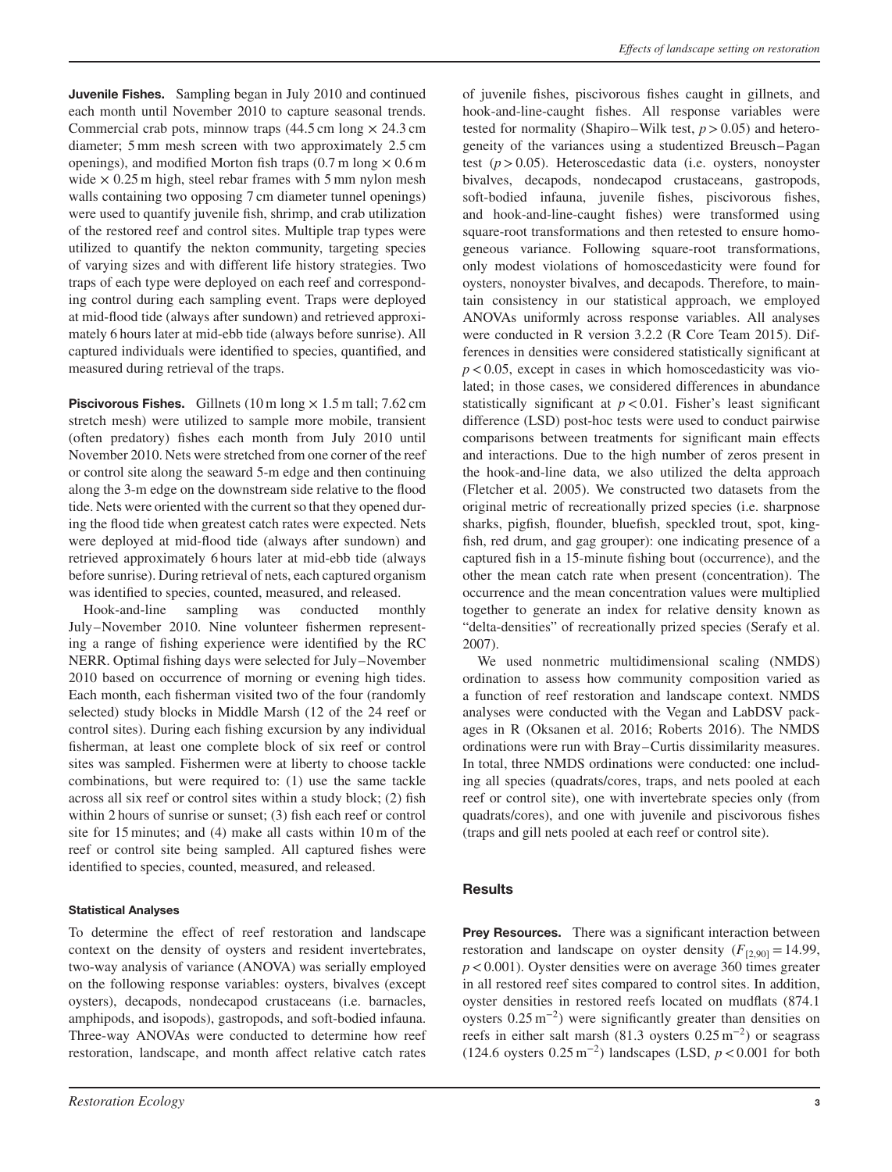**Juvenile Fishes.** Sampling began in July 2010 and continued each month until November 2010 to capture seasonal trends. Commercial crab pots, minnow traps  $(44.5 \text{ cm} \log x)$  24.3 cm diameter; 5 mm mesh screen with two approximately 2.5 cm openings), and modified Morton fish traps  $(0.7 \text{ m} \log \times 0.6 \text{ m})$ wide  $\times$  0.25 m high, steel rebar frames with 5 mm nylon mesh walls containing two opposing 7 cm diameter tunnel openings) were used to quantify juvenile fish, shrimp, and crab utilization of the restored reef and control sites. Multiple trap types were utilized to quantify the nekton community, targeting species of varying sizes and with different life history strategies. Two traps of each type were deployed on each reef and corresponding control during each sampling event. Traps were deployed at mid-flood tide (always after sundown) and retrieved approximately 6 hours later at mid-ebb tide (always before sunrise). All captured individuals were identified to species, quantified, and measured during retrieval of the traps.

**Piscivorous Fishes.** Gillnets  $(10 \text{ m long} \times 1.5 \text{ m tall}; 7.62 \text{ cm})$ stretch mesh) were utilized to sample more mobile, transient (often predatory) fishes each month from July 2010 until November 2010. Nets were stretched from one corner of the reef or control site along the seaward 5-m edge and then continuing along the 3-m edge on the downstream side relative to the flood tide. Nets were oriented with the current so that they opened during the flood tide when greatest catch rates were expected. Nets were deployed at mid-flood tide (always after sundown) and retrieved approximately 6 hours later at mid-ebb tide (always before sunrise). During retrieval of nets, each captured organism was identified to species, counted, measured, and released.

Hook-and-line sampling was conducted monthly July–November 2010. Nine volunteer fishermen representing a range of fishing experience were identified by the RC NERR. Optimal fishing days were selected for July–November 2010 based on occurrence of morning or evening high tides. Each month, each fisherman visited two of the four (randomly selected) study blocks in Middle Marsh (12 of the 24 reef or control sites). During each fishing excursion by any individual fisherman, at least one complete block of six reef or control sites was sampled. Fishermen were at liberty to choose tackle combinations, but were required to: (1) use the same tackle across all six reef or control sites within a study block; (2) fish within 2 hours of sunrise or sunset; (3) fish each reef or control site for 15 minutes; and (4) make all casts within 10 m of the reef or control site being sampled. All captured fishes were identified to species, counted, measured, and released.

# **Statistical Analyses**

To determine the effect of reef restoration and landscape context on the density of oysters and resident invertebrates, two-way analysis of variance (ANOVA) was serially employed on the following response variables: oysters, bivalves (except oysters), decapods, nondecapod crustaceans (i.e. barnacles, amphipods, and isopods), gastropods, and soft-bodied infauna. Three-way ANOVAs were conducted to determine how reef restoration, landscape, and month affect relative catch rates of juvenile fishes, piscivorous fishes caught in gillnets, and hook-and-line-caught fishes. All response variables were tested for normality (Shapiro–Wilk test, *p>*0.05) and heterogeneity of the variances using a studentized Breusch–Pagan test (*p>*0.05). Heteroscedastic data (i.e. oysters, nonoyster bivalves, decapods, nondecapod crustaceans, gastropods, soft-bodied infauna, juvenile fishes, piscivorous fishes, and hook-and-line-caught fishes) were transformed using square-root transformations and then retested to ensure homogeneous variance. Following square-root transformations, only modest violations of homoscedasticity were found for oysters, nonoyster bivalves, and decapods. Therefore, to maintain consistency in our statistical approach, we employed ANOVAs uniformly across response variables. All analyses were conducted in R version 3.2.2 (R Core Team 2015). Differences in densities were considered statistically significant at *p<*0.05, except in cases in which homoscedasticity was violated; in those cases, we considered differences in abundance statistically significant at  $p < 0.01$ . Fisher's least significant difference (LSD) post-hoc tests were used to conduct pairwise comparisons between treatments for significant main effects and interactions. Due to the high number of zeros present in the hook-and-line data, we also utilized the delta approach (Fletcher et al. 2005). We constructed two datasets from the original metric of recreationally prized species (i.e. sharpnose sharks, pigfish, flounder, bluefish, speckled trout, spot, kingfish, red drum, and gag grouper): one indicating presence of a captured fish in a 15-minute fishing bout (occurrence), and the other the mean catch rate when present (concentration). The occurrence and the mean concentration values were multiplied together to generate an index for relative density known as "delta-densities" of recreationally prized species (Serafy et al. 2007).

We used nonmetric multidimensional scaling (NMDS) ordination to assess how community composition varied as a function of reef restoration and landscape context. NMDS analyses were conducted with the Vegan and LabDSV packages in R (Oksanen et al. 2016; Roberts 2016). The NMDS ordinations were run with Bray–Curtis dissimilarity measures. In total, three NMDS ordinations were conducted: one including all species (quadrats/cores, traps, and nets pooled at each reef or control site), one with invertebrate species only (from quadrats/cores), and one with juvenile and piscivorous fishes (traps and gill nets pooled at each reef or control site).

# **Results**

**Prey Resources.** There was a significant interaction between restoration and landscape on oyster density  $(F_{[2,90]} = 14.99)$ , *p<*0.001). Oyster densities were on average 360 times greater in all restored reef sites compared to control sites. In addition, oyster densities in restored reefs located on mudflats (874.1 oysters 0.25 m<sup>−</sup>2) were significantly greater than densities on reefs in either salt marsh (81.3 oysters  $0.25 \text{ m}^{-2}$ ) or seagrass (124.6 oysters 0.25 m<sup>−</sup>2) landscapes (LSD, *p<*0.001 for both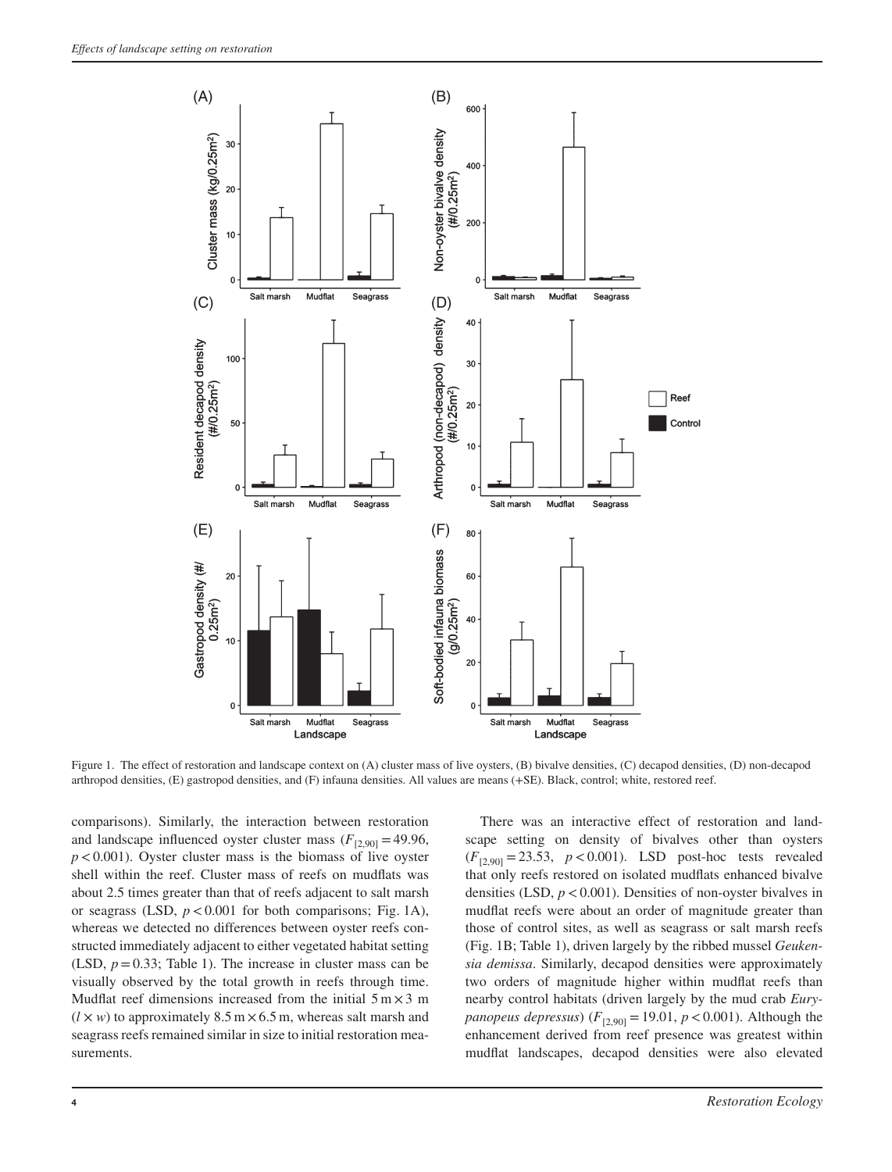

Figure 1. The effect of restoration and landscape context on (A) cluster mass of live oysters, (B) bivalve densities, (C) decapod densities, (D) non-decapod arthropod densities, (E) gastropod densities, and (F) infauna densities. All values are means (+SE). Black, control; white, restored reef.

comparisons). Similarly, the interaction between restoration and landscape influenced oyster cluster mass  $(F<sub>[2,90]</sub> = 49.96)$ , *p<*0.001). Oyster cluster mass is the biomass of live oyster shell within the reef. Cluster mass of reefs on mudflats was about 2.5 times greater than that of reefs adjacent to salt marsh or seagrass (LSD, *p<*0.001 for both comparisons; Fig. 1A), whereas we detected no differences between oyster reefs constructed immediately adjacent to either vegetated habitat setting (LSD,  $p = 0.33$ ; Table 1). The increase in cluster mass can be visually observed by the total growth in reefs through time. Mudflat reef dimensions increased from the initial  $5 \text{ m} \times 3 \text{ m}$  $(l \times w)$  to approximately 8.5 m  $\times$  6.5 m, whereas salt marsh and seagrass reefs remained similar in size to initial restoration measurements.

There was an interactive effect of restoration and landscape setting on density of bivalves other than oysters  $(F_{[2,90]} = 23.53, p < 0.001)$ . LSD post-hoc tests revealed that only reefs restored on isolated mudflats enhanced bivalve densities (LSD, *p<*0.001). Densities of non-oyster bivalves in mudflat reefs were about an order of magnitude greater than those of control sites, as well as seagrass or salt marsh reefs (Fig. 1B; Table 1), driven largely by the ribbed mussel *Geukensia demissa*. Similarly, decapod densities were approximately two orders of magnitude higher within mudflat reefs than nearby control habitats (driven largely by the mud crab *Eurypanopeus depressus*) ( $F_{[2,90]}$  = 19.01, *p* < 0.001). Although the enhancement derived from reef presence was greatest within mudflat landscapes, decapod densities were also elevated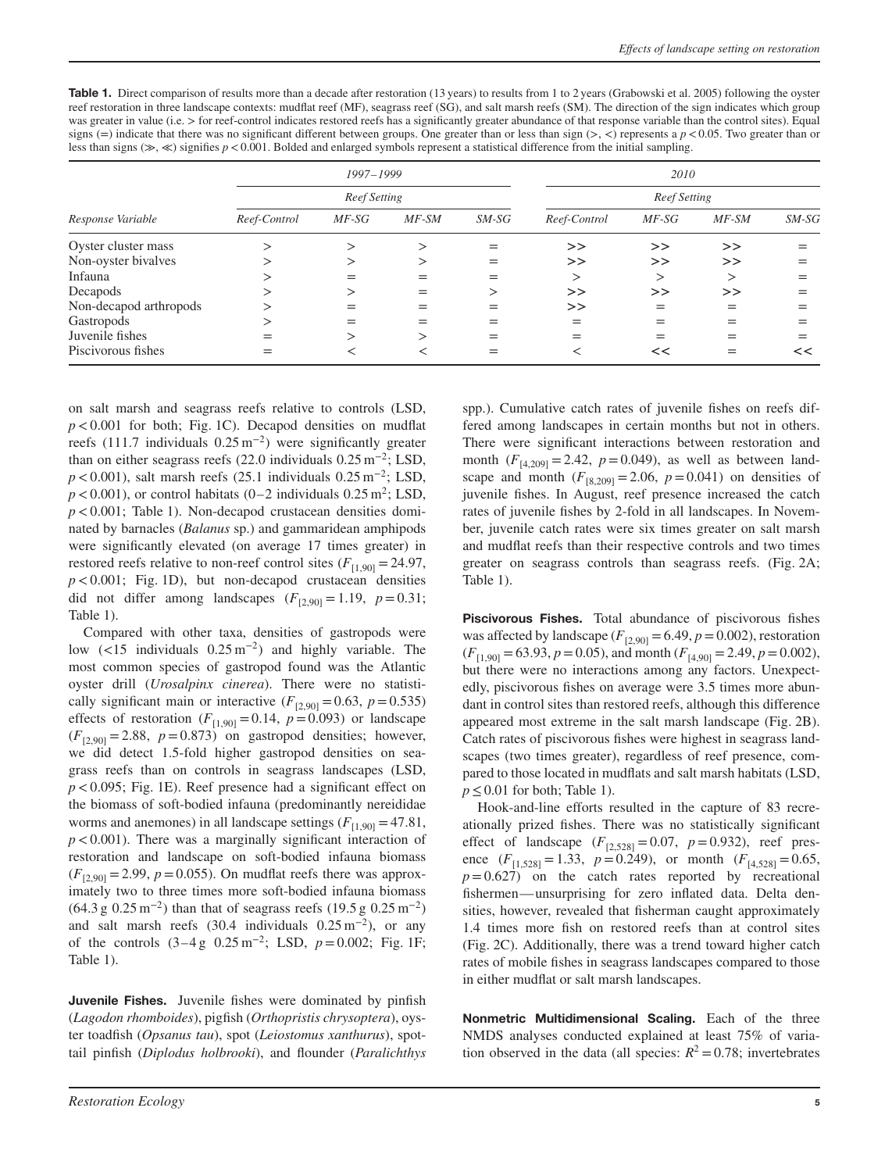| <b>Table 1.</b> Direct comparison of results more than a decade after restoration (13 years) to results from 1 to 2 years (Grabowski et al. 2005) following the oyster  |
|-------------------------------------------------------------------------------------------------------------------------------------------------------------------------|
| reef restoration in three landscape contexts: mudflat reef (MF), seagrass reef (SG), and salt marsh reefs (SM). The direction of the sign indicates which group         |
| was greater in value (i.e. $>$ for reef-control indicates restored reefs has a significantly greater abundance of that response variable than the control sites). Equal |
| signs (=) indicate that there was no significant different between groups. One greater than or less than sign (>, <) represents a $p < 0.05$ . Two greater than or      |
| less than signs $(\gg, \ll)$ signifies $p < 0.001$ . Bolded and enlarged symbols represent a statistical difference from the initial sampling.                          |

| Response Variable      | 1997-1999<br><b>Reef Setting</b> |   |     |     | 2010<br>Reef Setting |    |    |    |
|------------------------|----------------------------------|---|-----|-----|----------------------|----|----|----|
|                        |                                  |   |     |     |                      |    |    |    |
|                        | Oyster cluster mass              |   |     |     | $=$                  | >> | >  | >> |
| Non-oyster bivalves    |                                  |   |     | $=$ | >>                   | >> | >> |    |
| Infauna                |                                  |   |     | $=$ | >                    |    |    |    |
| Decapods               |                                  |   | $=$ | >   | >>                   | >> | >  |    |
| Non-decapod arthropods |                                  |   |     |     | >>                   |    |    |    |
| Gastropods             |                                  |   |     |     | $=$                  |    |    |    |
| Juvenile fishes        |                                  | > |     | $=$ | $=$                  |    |    |    |
| Piscivorous fishes     |                                  |   |     |     | ≺                    | << |    | << |

on salt marsh and seagrass reefs relative to controls (LSD, *p<*0.001 for both; Fig. 1C). Decapod densities on mudflat reefs (111.7 individuals 0.25 m<sup>−</sup>2) were significantly greater than on either seagrass reefs (22.0 individuals 0.25 m<sup>−</sup>2; LSD, *p* < 0.001), salt marsh reefs (25.1 individuals 0.25 m<sup>-2</sup>; LSD,  $p$  < 0.001), or control habitats (0–2 individuals 0.25 m<sup>2</sup>; LSD, *p<*0.001; Table 1). Non-decapod crustacean densities dominated by barnacles (*Balanus* sp.) and gammaridean amphipods were significantly elevated (on average 17 times greater) in restored reefs relative to non-reef control sites  $(F_{[1,90]} = 24.97$ , *p<*0.001; Fig. 1D), but non-decapod crustacean densities did not differ among landscapes  $(F_{[2,90]} = 1.19, p = 0.31;$ Table 1).

Compared with other taxa, densities of gastropods were low (*<*15 individuals 0.25 m<sup>−</sup>2) and highly variable. The most common species of gastropod found was the Atlantic oyster drill (*Urosalpinx cinerea*). There were no statistically significant main or interactive  $(F_{[2,90]} = 0.63, p = 0.535)$ effects of restoration  $(F_{[1,90]} = 0.14, p = 0.093)$  or landscape  $(F<sub>[2,90]</sub> = 2.88, p = 0.873)$  on gastropod densities; however, we did detect 1.5-fold higher gastropod densities on seagrass reefs than on controls in seagrass landscapes (LSD, *p<*0.095; Fig. 1E). Reef presence had a significant effect on the biomass of soft-bodied infauna (predominantly nereididae worms and anemones) in all landscape settings  $(F_{[1,90]} = 47.81,$ *p<*0.001). There was a marginally significant interaction of restoration and landscape on soft-bodied infauna biomass  $(F_{[2,90]} = 2.99, p = 0.055)$ . On mudflat reefs there was approximately two to three times more soft-bodied infauna biomass  $(64.3 \text{ g } 0.25 \text{ m}^{-2})$  than that of seagrass reefs  $(19.5 \text{ g } 0.25 \text{ m}^{-2})$ and salt marsh reefs  $(30.4 \text{ individuals } 0.25 \text{ m}^{-2})$ , or any of the controls  $(3-4g)$  0.25 m<sup>-2</sup>; LSD,  $p=0.002$ ; Fig. 1F; Table 1).

**Juvenile Fishes.** Juvenile fishes were dominated by pinfish (*Lagodon rhomboides*), pigfish (*Orthopristis chrysoptera*), oyster toadfish (*Opsanus tau*), spot (*Leiostomus xanthurus*), spottail pinfish (*Diplodus holbrooki*), and flounder (*Paralichthys*

spp.). Cumulative catch rates of juvenile fishes on reefs differed among landscapes in certain months but not in others. There were significant interactions between restoration and month  $(F_{[4,209]} = 2.42, p = 0.049)$ , as well as between landscape and month  $(F_{[8,209]} = 2.06, p = 0.041)$  on densities of juvenile fishes. In August, reef presence increased the catch rates of juvenile fishes by 2-fold in all landscapes. In November, juvenile catch rates were six times greater on salt marsh and mudflat reefs than their respective controls and two times greater on seagrass controls than seagrass reefs. (Fig. 2A; Table 1).

**Piscivorous Fishes.** Total abundance of piscivorous fishes was affected by landscape  $(F_{[2,90]} = 6.49, p = 0.002)$ , restoration  $(F_{[1,90]} = 63.93, p = 0.05)$ , and month  $(F_{[4,90]} = 2.49, p = 0.002)$ , but there were no interactions among any factors. Unexpectedly, piscivorous fishes on average were 3.5 times more abundant in control sites than restored reefs, although this difference appeared most extreme in the salt marsh landscape (Fig. 2B). Catch rates of piscivorous fishes were highest in seagrass landscapes (two times greater), regardless of reef presence, compared to those located in mudflats and salt marsh habitats (LSD, *p* ≤ 0.01 for both; Table 1).

Hook-and-line efforts resulted in the capture of 83 recreationally prized fishes. There was no statistically significant effect of landscape  $(F_{[2,528]} = 0.07, p = 0.932)$ , reef presence  $(F_{[1,528]} = 1.33, p = 0.249)$ , or month  $(F_{[4,528]} = 0.65,$  $p=0.627$ ) on the catch rates reported by recreational fishermen—unsurprising for zero inflated data. Delta densities, however, revealed that fisherman caught approximately 1.4 times more fish on restored reefs than at control sites (Fig. 2C). Additionally, there was a trend toward higher catch rates of mobile fishes in seagrass landscapes compared to those in either mudflat or salt marsh landscapes.

**Nonmetric Multidimensional Scaling.** Each of the three NMDS analyses conducted explained at least 75% of variation observed in the data (all species:  $R^2 = 0.78$ ; invertebrates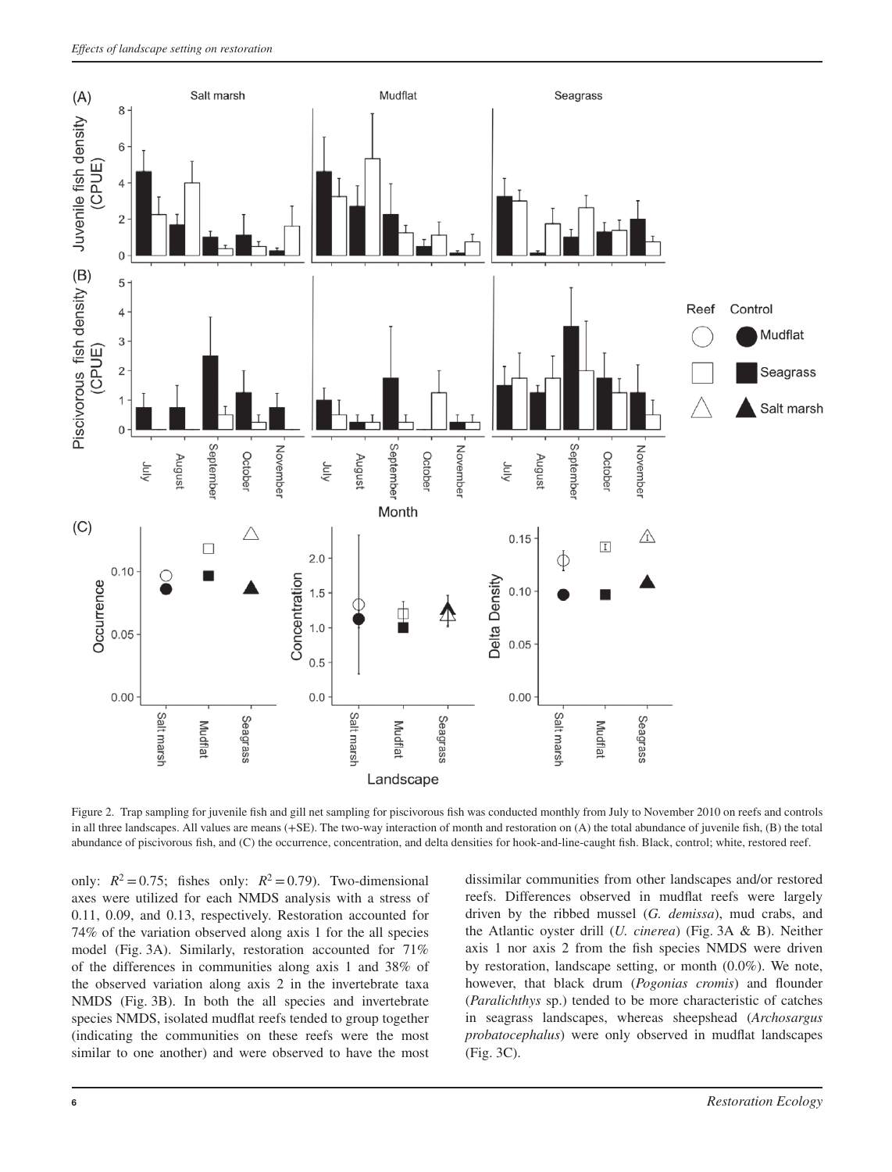

Figure 2. Trap sampling for juvenile fish and gill net sampling for piscivorous fish was conducted monthly from July to November 2010 on reefs and controls in all three landscapes. All values are means (+SE). The two-way interaction of month and restoration on (A) the total abundance of juvenile fish, (B) the total abundance of piscivorous fish, and (C) the occurrence, concentration, and delta densities for hook-and-line-caught fish. Black, control; white, restored reef.

only:  $R^2 = 0.75$ ; fishes only:  $R^2 = 0.79$ ). Two-dimensional axes were utilized for each NMDS analysis with a stress of 0.11, 0.09, and 0.13, respectively. Restoration accounted for 74% of the variation observed along axis 1 for the all species model (Fig. 3A). Similarly, restoration accounted for 71% of the differences in communities along axis 1 and 38% of the observed variation along axis 2 in the invertebrate taxa NMDS (Fig. 3B). In both the all species and invertebrate species NMDS, isolated mudflat reefs tended to group together (indicating the communities on these reefs were the most similar to one another) and were observed to have the most dissimilar communities from other landscapes and/or restored reefs. Differences observed in mudflat reefs were largely driven by the ribbed mussel (*G. demissa*), mud crabs, and the Atlantic oyster drill (*U. cinerea*) (Fig. 3A & B). Neither axis 1 nor axis 2 from the fish species NMDS were driven by restoration, landscape setting, or month (0.0%). We note, however, that black drum (*Pogonias cromis*) and flounder (*Paralichthys* sp.) tended to be more characteristic of catches in seagrass landscapes, whereas sheepshead (*Archosargus probatocephalus*) were only observed in mudflat landscapes (Fig. 3C).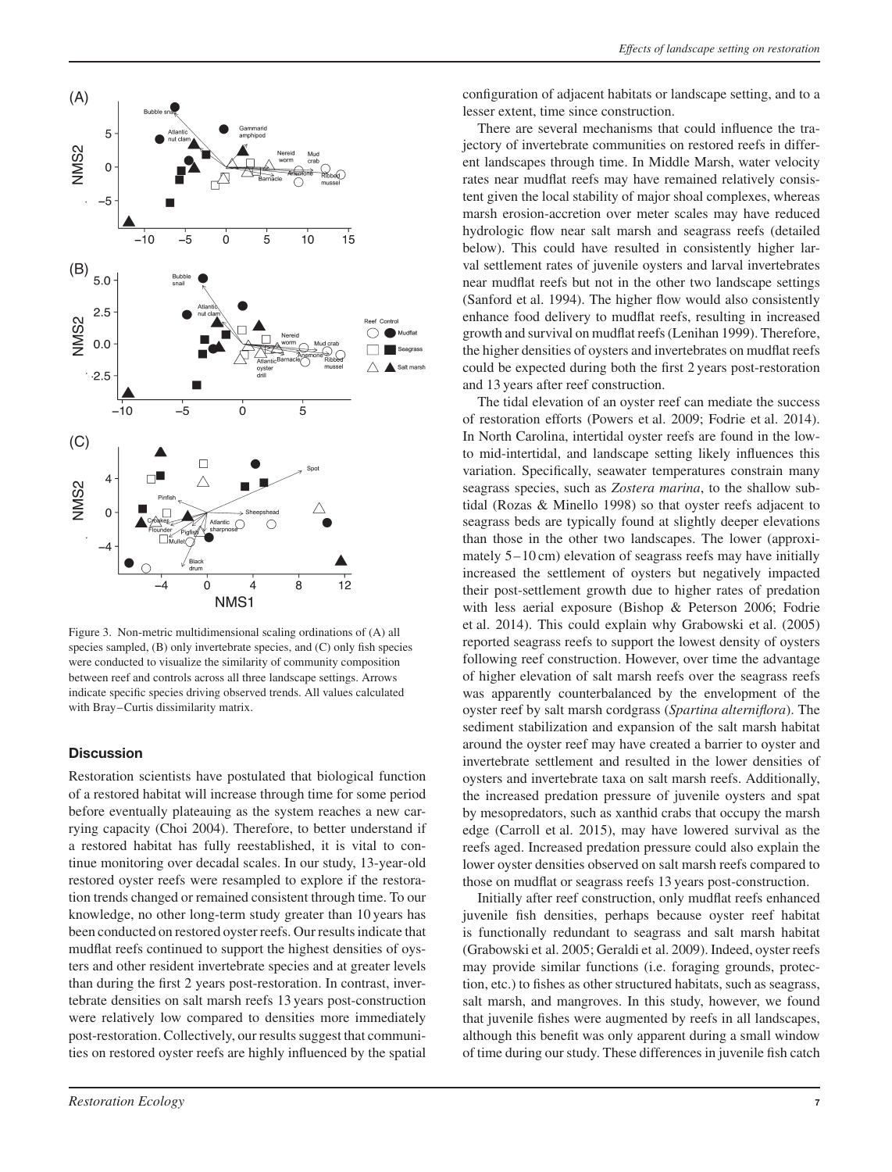

Figure 3. Non-metric multidimensional scaling ordinations of (A) all species sampled, (B) only invertebrate species, and (C) only fish species were conducted to visualize the similarity of community composition between reef and controls across all three landscape settings. Arrows indicate specific species driving observed trends. All values calculated with Bray–Curtis dissimilarity matrix.

# **Discussion**

Restoration scientists have postulated that biological function of a restored habitat will increase through time for some period before eventually plateauing as the system reaches a new carrying capacity (Choi 2004). Therefore, to better understand if a restored habitat has fully reestablished, it is vital to continue monitoring over decadal scales. In our study, 13-year-old restored oyster reefs were resampled to explore if the restoration trends changed or remained consistent through time. To our knowledge, no other long-term study greater than 10 years has been conducted on restored oyster reefs. Our results indicate that mudflat reefs continued to support the highest densities of oysters and other resident invertebrate species and at greater levels than during the first 2 years post-restoration. In contrast, invertebrate densities on salt marsh reefs 13 years post-construction were relatively low compared to densities more immediately post-restoration. Collectively, our results suggest that communities on restored oyster reefs are highly influenced by the spatial configuration of adjacent habitats or landscape setting, and to a lesser extent, time since construction.

There are several mechanisms that could influence the trajectory of invertebrate communities on restored reefs in different landscapes through time. In Middle Marsh, water velocity rates near mudflat reefs may have remained relatively consistent given the local stability of major shoal complexes, whereas marsh erosion-accretion over meter scales may have reduced hydrologic flow near salt marsh and seagrass reefs (detailed below). This could have resulted in consistently higher larval settlement rates of juvenile oysters and larval invertebrates near mudflat reefs but not in the other two landscape settings (Sanford et al. 1994). The higher flow would also consistently enhance food delivery to mudflat reefs, resulting in increased growth and survival on mudflat reefs (Lenihan 1999). Therefore, the higher densities of oysters and invertebrates on mudflat reefs could be expected during both the first 2 years post-restoration and 13 years after reef construction.

The tidal elevation of an oyster reef can mediate the success of restoration efforts (Powers et al. 2009; Fodrie et al. 2014). In North Carolina, intertidal oyster reefs are found in the lowto mid-intertidal, and landscape setting likely influences this variation. Specifically, seawater temperatures constrain many seagrass species, such as *Zostera marina*, to the shallow subtidal (Rozas & Minello 1998) so that oyster reefs adjacent to seagrass beds are typically found at slightly deeper elevations than those in the other two landscapes. The lower (approximately 5–10 cm) elevation of seagrass reefs may have initially increased the settlement of oysters but negatively impacted their post-settlement growth due to higher rates of predation with less aerial exposure (Bishop & Peterson 2006; Fodrie et al. 2014). This could explain why Grabowski et al. (2005) reported seagrass reefs to support the lowest density of oysters following reef construction. However, over time the advantage of higher elevation of salt marsh reefs over the seagrass reefs was apparently counterbalanced by the envelopment of the oyster reef by salt marsh cordgrass (*Spartina alterniflora*). The sediment stabilization and expansion of the salt marsh habitat around the oyster reef may have created a barrier to oyster and invertebrate settlement and resulted in the lower densities of oysters and invertebrate taxa on salt marsh reefs. Additionally, the increased predation pressure of juvenile oysters and spat by mesopredators, such as xanthid crabs that occupy the marsh edge (Carroll et al. 2015), may have lowered survival as the reefs aged. Increased predation pressure could also explain the lower oyster densities observed on salt marsh reefs compared to those on mudflat or seagrass reefs 13 years post-construction.

Initially after reef construction, only mudflat reefs enhanced juvenile fish densities, perhaps because oyster reef habitat is functionally redundant to seagrass and salt marsh habitat (Grabowski et al. 2005; Geraldi et al. 2009). Indeed, oyster reefs may provide similar functions (i.e. foraging grounds, protection, etc.) to fishes as other structured habitats, such as seagrass, salt marsh, and mangroves. In this study, however, we found that juvenile fishes were augmented by reefs in all landscapes, although this benefit was only apparent during a small window of time during our study. These differences in juvenile fish catch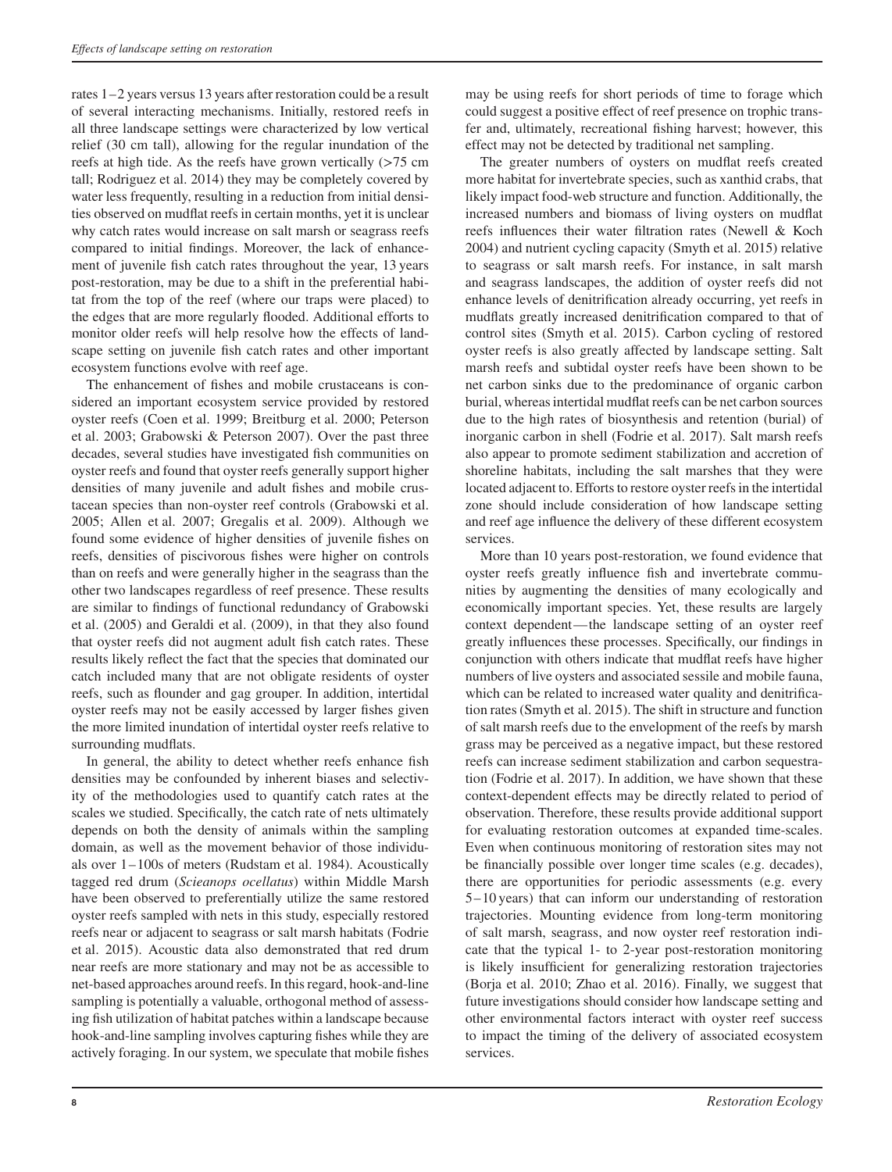rates 1–2 years versus 13 years after restoration could be a result of several interacting mechanisms. Initially, restored reefs in all three landscape settings were characterized by low vertical relief (30 cm tall), allowing for the regular inundation of the reefs at high tide. As the reefs have grown vertically (*>*75 cm tall; Rodriguez et al. 2014) they may be completely covered by water less frequently, resulting in a reduction from initial densities observed on mudflat reefs in certain months, yet it is unclear why catch rates would increase on salt marsh or seagrass reefs compared to initial findings. Moreover, the lack of enhancement of juvenile fish catch rates throughout the year, 13 years post-restoration, may be due to a shift in the preferential habitat from the top of the reef (where our traps were placed) to the edges that are more regularly flooded. Additional efforts to monitor older reefs will help resolve how the effects of landscape setting on juvenile fish catch rates and other important ecosystem functions evolve with reef age.

The enhancement of fishes and mobile crustaceans is considered an important ecosystem service provided by restored oyster reefs (Coen et al. 1999; Breitburg et al. 2000; Peterson et al. 2003; Grabowski & Peterson 2007). Over the past three decades, several studies have investigated fish communities on oyster reefs and found that oyster reefs generally support higher densities of many juvenile and adult fishes and mobile crustacean species than non-oyster reef controls (Grabowski et al. 2005; Allen et al. 2007; Gregalis et al. 2009). Although we found some evidence of higher densities of juvenile fishes on reefs, densities of piscivorous fishes were higher on controls than on reefs and were generally higher in the seagrass than the other two landscapes regardless of reef presence. These results are similar to findings of functional redundancy of Grabowski et al. (2005) and Geraldi et al. (2009), in that they also found that oyster reefs did not augment adult fish catch rates. These results likely reflect the fact that the species that dominated our catch included many that are not obligate residents of oyster reefs, such as flounder and gag grouper. In addition, intertidal oyster reefs may not be easily accessed by larger fishes given the more limited inundation of intertidal oyster reefs relative to surrounding mudflats.

In general, the ability to detect whether reefs enhance fish densities may be confounded by inherent biases and selectivity of the methodologies used to quantify catch rates at the scales we studied. Specifically, the catch rate of nets ultimately depends on both the density of animals within the sampling domain, as well as the movement behavior of those individuals over 1–100s of meters (Rudstam et al. 1984). Acoustically tagged red drum (*Scieanops ocellatus*) within Middle Marsh have been observed to preferentially utilize the same restored oyster reefs sampled with nets in this study, especially restored reefs near or adjacent to seagrass or salt marsh habitats (Fodrie et al. 2015). Acoustic data also demonstrated that red drum near reefs are more stationary and may not be as accessible to net-based approaches around reefs. In this regard, hook-and-line sampling is potentially a valuable, orthogonal method of assessing fish utilization of habitat patches within a landscape because hook-and-line sampling involves capturing fishes while they are actively foraging. In our system, we speculate that mobile fishes

may be using reefs for short periods of time to forage which could suggest a positive effect of reef presence on trophic transfer and, ultimately, recreational fishing harvest; however, this effect may not be detected by traditional net sampling.

The greater numbers of oysters on mudflat reefs created more habitat for invertebrate species, such as xanthid crabs, that likely impact food-web structure and function. Additionally, the increased numbers and biomass of living oysters on mudflat reefs influences their water filtration rates (Newell & Koch 2004) and nutrient cycling capacity (Smyth et al. 2015) relative to seagrass or salt marsh reefs. For instance, in salt marsh and seagrass landscapes, the addition of oyster reefs did not enhance levels of denitrification already occurring, yet reefs in mudflats greatly increased denitrification compared to that of control sites (Smyth et al. 2015). Carbon cycling of restored oyster reefs is also greatly affected by landscape setting. Salt marsh reefs and subtidal oyster reefs have been shown to be net carbon sinks due to the predominance of organic carbon burial, whereas intertidal mudflat reefs can be net carbon sources due to the high rates of biosynthesis and retention (burial) of inorganic carbon in shell (Fodrie et al. 2017). Salt marsh reefs also appear to promote sediment stabilization and accretion of shoreline habitats, including the salt marshes that they were located adjacent to. Efforts to restore oyster reefs in the intertidal zone should include consideration of how landscape setting and reef age influence the delivery of these different ecosystem services.

More than 10 years post-restoration, we found evidence that oyster reefs greatly influence fish and invertebrate communities by augmenting the densities of many ecologically and economically important species. Yet, these results are largely context dependent—the landscape setting of an oyster reef greatly influences these processes. Specifically, our findings in conjunction with others indicate that mudflat reefs have higher numbers of live oysters and associated sessile and mobile fauna, which can be related to increased water quality and denitrification rates (Smyth et al. 2015). The shift in structure and function of salt marsh reefs due to the envelopment of the reefs by marsh grass may be perceived as a negative impact, but these restored reefs can increase sediment stabilization and carbon sequestration (Fodrie et al. 2017). In addition, we have shown that these context-dependent effects may be directly related to period of observation. Therefore, these results provide additional support for evaluating restoration outcomes at expanded time-scales. Even when continuous monitoring of restoration sites may not be financially possible over longer time scales (e.g. decades), there are opportunities for periodic assessments (e.g. every 5–10 years) that can inform our understanding of restoration trajectories. Mounting evidence from long-term monitoring of salt marsh, seagrass, and now oyster reef restoration indicate that the typical 1- to 2-year post-restoration monitoring is likely insufficient for generalizing restoration trajectories (Borja et al. 2010; Zhao et al. 2016). Finally, we suggest that future investigations should consider how landscape setting and other environmental factors interact with oyster reef success to impact the timing of the delivery of associated ecosystem services.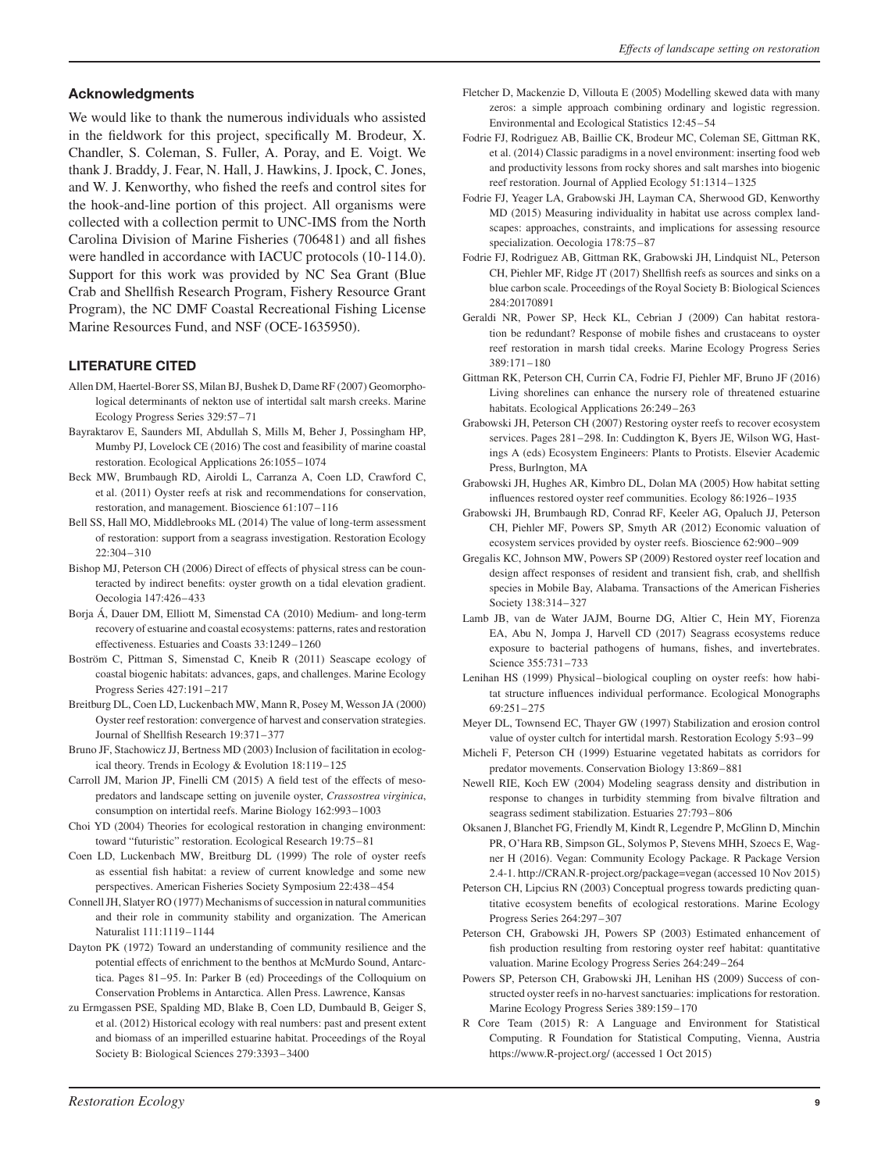#### **Acknowledgments**

We would like to thank the numerous individuals who assisted in the fieldwork for this project, specifically M. Brodeur, X. Chandler, S. Coleman, S. Fuller, A. Poray, and E. Voigt. We thank J. Braddy, J. Fear, N. Hall, J. Hawkins, J. Ipock, C. Jones, and W. J. Kenworthy, who fished the reefs and control sites for the hook-and-line portion of this project. All organisms were collected with a collection permit to UNC-IMS from the North Carolina Division of Marine Fisheries (706481) and all fishes were handled in accordance with IACUC protocols (10-114.0). Support for this work was provided by NC Sea Grant (Blue Crab and Shellfish Research Program, Fishery Resource Grant Program), the NC DMF Coastal Recreational Fishing License Marine Resources Fund, and NSF (OCE-1635950).

# **LITERATURE CITED**

- Allen DM, Haertel-Borer SS, Milan BJ, Bushek D, Dame RF (2007) Geomorphological determinants of nekton use of intertidal salt marsh creeks. Marine Ecology Progress Series 329:57–71
- Bayraktarov E, Saunders MI, Abdullah S, Mills M, Beher J, Possingham HP, Mumby PJ, Lovelock CE (2016) The cost and feasibility of marine coastal restoration. Ecological Applications 26:1055–1074
- Beck MW, Brumbaugh RD, Airoldi L, Carranza A, Coen LD, Crawford C, et al. (2011) Oyster reefs at risk and recommendations for conservation, restoration, and management. Bioscience 61:107–116
- Bell SS, Hall MO, Middlebrooks ML (2014) The value of long-term assessment of restoration: support from a seagrass investigation. Restoration Ecology 22:304–310
- Bishop MJ, Peterson CH (2006) Direct of effects of physical stress can be counteracted by indirect benefits: oyster growth on a tidal elevation gradient. Oecologia 147:426–433
- Borja Á, Dauer DM, Elliott M, Simenstad CA (2010) Medium- and long-term recovery of estuarine and coastal ecosystems: patterns, rates and restoration effectiveness. Estuaries and Coasts 33:1249–1260
- Boström C, Pittman S, Simenstad C, Kneib R (2011) Seascape ecology of coastal biogenic habitats: advances, gaps, and challenges. Marine Ecology Progress Series 427:191–217
- Breitburg DL, Coen LD, Luckenbach MW, Mann R, Posey M, Wesson JA (2000) Oyster reef restoration: convergence of harvest and conservation strategies. Journal of Shellfish Research 19:371–377
- Bruno JF, Stachowicz JJ, Bertness MD (2003) Inclusion of facilitation in ecological theory. Trends in Ecology & Evolution 18:119–125
- Carroll JM, Marion JP, Finelli CM (2015) A field test of the effects of mesopredators and landscape setting on juvenile oyster, *Crassostrea virginica*, consumption on intertidal reefs. Marine Biology 162:993–1003
- Choi YD (2004) Theories for ecological restoration in changing environment: toward "futuristic" restoration. Ecological Research 19:75–81
- Coen LD, Luckenbach MW, Breitburg DL (1999) The role of oyster reefs as essential fish habitat: a review of current knowledge and some new perspectives. American Fisheries Society Symposium 22:438–454
- Connell JH, Slatyer RO (1977) Mechanisms of succession in natural communities and their role in community stability and organization. The American Naturalist 111:1119–1144
- Dayton PK (1972) Toward an understanding of community resilience and the potential effects of enrichment to the benthos at McMurdo Sound, Antarctica. Pages 81–95. In: Parker B (ed) Proceedings of the Colloquium on Conservation Problems in Antarctica. Allen Press. Lawrence, Kansas
- zu Ermgassen PSE, Spalding MD, Blake B, Coen LD, Dumbauld B, Geiger S, et al. (2012) Historical ecology with real numbers: past and present extent and biomass of an imperilled estuarine habitat. Proceedings of the Royal Society B: Biological Sciences 279:3393–3400
- Fletcher D, Mackenzie D, Villouta E (2005) Modelling skewed data with many zeros: a simple approach combining ordinary and logistic regression. Environmental and Ecological Statistics 12:45–54
- Fodrie FJ, Rodriguez AB, Baillie CK, Brodeur MC, Coleman SE, Gittman RK, et al. (2014) Classic paradigms in a novel environment: inserting food web and productivity lessons from rocky shores and salt marshes into biogenic reef restoration. Journal of Applied Ecology 51:1314–1325
- Fodrie FJ, Yeager LA, Grabowski JH, Layman CA, Sherwood GD, Kenworthy MD (2015) Measuring individuality in habitat use across complex landscapes: approaches, constraints, and implications for assessing resource specialization. Oecologia 178:75–87
- Fodrie FJ, Rodriguez AB, Gittman RK, Grabowski JH, Lindquist NL, Peterson CH, Piehler MF, Ridge JT (2017) Shellfish reefs as sources and sinks on a blue carbon scale. Proceedings of the Royal Society B: Biological Sciences 284:20170891
- Geraldi NR, Power SP, Heck KL, Cebrian J (2009) Can habitat restoration be redundant? Response of mobile fishes and crustaceans to oyster reef restoration in marsh tidal creeks. Marine Ecology Progress Series 389:171–180
- Gittman RK, Peterson CH, Currin CA, Fodrie FJ, Piehler MF, Bruno JF (2016) Living shorelines can enhance the nursery role of threatened estuarine habitats. Ecological Applications 26:249–263
- Grabowski JH, Peterson CH (2007) Restoring oyster reefs to recover ecosystem services. Pages 281–298. In: Cuddington K, Byers JE, Wilson WG, Hastings A (eds) Ecosystem Engineers: Plants to Protists. Elsevier Academic Press, Burlngton, MA
- Grabowski JH, Hughes AR, Kimbro DL, Dolan MA (2005) How habitat setting influences restored oyster reef communities. Ecology 86:1926–1935
- Grabowski JH, Brumbaugh RD, Conrad RF, Keeler AG, Opaluch JJ, Peterson CH, Piehler MF, Powers SP, Smyth AR (2012) Economic valuation of ecosystem services provided by oyster reefs. Bioscience 62:900–909
- Gregalis KC, Johnson MW, Powers SP (2009) Restored oyster reef location and design affect responses of resident and transient fish, crab, and shellfish species in Mobile Bay, Alabama. Transactions of the American Fisheries Society 138:314–327
- Lamb JB, van de Water JAJM, Bourne DG, Altier C, Hein MY, Fiorenza EA, Abu N, Jompa J, Harvell CD (2017) Seagrass ecosystems reduce exposure to bacterial pathogens of humans, fishes, and invertebrates. Science 355:731–733
- Lenihan HS (1999) Physical–biological coupling on oyster reefs: how habitat structure influences individual performance. Ecological Monographs 69:251–275
- Meyer DL, Townsend EC, Thayer GW (1997) Stabilization and erosion control value of oyster cultch for intertidal marsh. Restoration Ecology 5:93–99
- Micheli F, Peterson CH (1999) Estuarine vegetated habitats as corridors for predator movements. Conservation Biology 13:869–881
- Newell RIE, Koch EW (2004) Modeling seagrass density and distribution in response to changes in turbidity stemming from bivalve filtration and seagrass sediment stabilization. Estuaries 27:793–806
- Oksanen J, Blanchet FG, Friendly M, Kindt R, Legendre P, McGlinn D, Minchin PR, O'Hara RB, Simpson GL, Solymos P, Stevens MHH, Szoecs E, Wagner H (2016). Vegan: Community Ecology Package. R Package Version 2.4-1. [http://CRAN.R-project.org/package=vegan](http://cran.r-project.org/package=vegan) (accessed 10 Nov 2015)
- Peterson CH, Lipcius RN (2003) Conceptual progress towards predicting quantitative ecosystem benefits of ecological restorations. Marine Ecology Progress Series 264:297–307
- Peterson CH, Grabowski JH, Powers SP (2003) Estimated enhancement of fish production resulting from restoring oyster reef habitat: quantitative valuation. Marine Ecology Progress Series 264:249–264
- Powers SP, Peterson CH, Grabowski JH, Lenihan HS (2009) Success of constructed oyster reefs in no-harvest sanctuaries: implications for restoration. Marine Ecology Progress Series 389:159–170
- R Core Team (2015) R: A Language and Environment for Statistical Computing. R Foundation for Statistical Computing, Vienna, Austria https://www.R-project.org/ (accessed 1 Oct 2015)